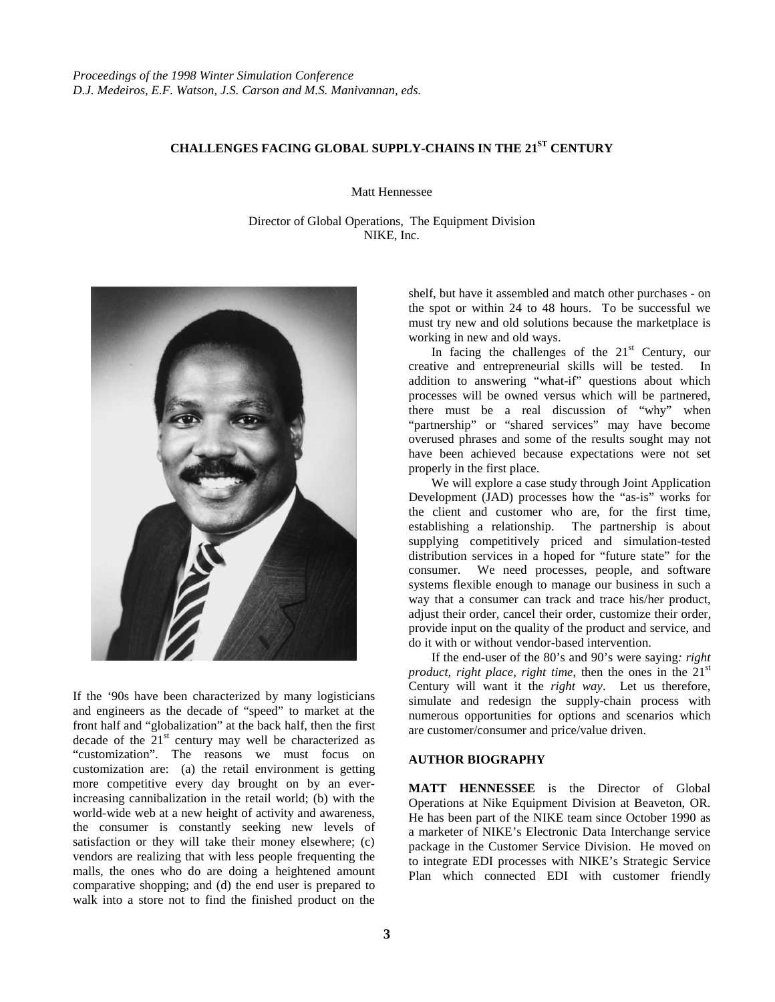## **CHALLENGES FACING GLOBAL SUPPLY-CHAINS IN THE 21ST CENTURY**

Matt Hennessee

Director of Global Operations, The Equipment Division NIKE, Inc.



If the '90s have been characterized by many logisticians and engineers as the decade of "speed" to market at the front half and "globalization" at the back half, then the first decade of the  $21<sup>st</sup>$  century may well be characterized as "customization". The reasons we must focus on customization are: (a) the retail environment is getting more competitive every day brought on by an everincreasing cannibalization in the retail world; (b) with the world-wide web at a new height of activity and awareness, the consumer is constantly seeking new levels of satisfaction or they will take their money elsewhere; (c) vendors are realizing that with less people frequenting the malls, the ones who do are doing a heightened amount comparative shopping; and (d) the end user is prepared to walk into a store not to find the finished product on the

shelf, but have it assembled and match other purchases - on the spot or within 24 to 48 hours. To be successful we must try new and old solutions because the marketplace is working in new and old ways.

In facing the challenges of the  $21<sup>st</sup>$  Century, our creative and entrepreneurial skills will be tested. In addition to answering "what-if" questions about which processes will be owned versus which will be partnered, there must be a real discussion of "why" when "partnership" or "shared services" may have become overused phrases and some of the results sought may not have been achieved because expectations were not set properly in the first place.

We will explore a case study through Joint Application Development (JAD) processes how the "as-is" works for the client and customer who are, for the first time, establishing a relationship. The partnership is about supplying competitively priced and simulation-tested distribution services in a hoped for "future state" for the consumer. We need processes, people, and software systems flexible enough to manage our business in such a way that a consumer can track and trace his/her product, adjust their order, cancel their order, customize their order, provide input on the quality of the product and service, and do it with or without vendor-based intervention.

If the end-user of the 80's and 90's were saying*: right product, right place, right time, then the ones in the*  $21<sup>st</sup>$ Century will want it the *right way*. Let us therefore, simulate and redesign the supply-chain process with numerous opportunities for options and scenarios which are customer/consumer and price/value driven.

## **AUTHOR BIOGRAPHY**

**MATT HENNESSEE** is the Director of Global Operations at Nike Equipment Division at Beaveton, OR. He has been part of the NIKE team since October 1990 as a marketer of NIKE's Electronic Data Interchange service package in the Customer Service Division. He moved on to integrate EDI processes with NIKE's Strategic Service Plan which connected EDI with customer friendly